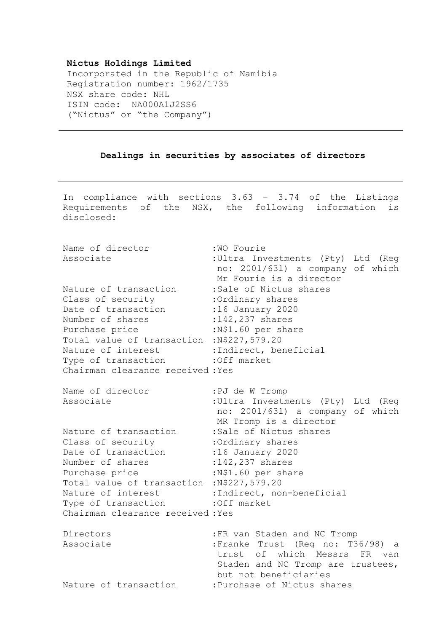## **Nictus Holdings Limited**

Incorporated in the Republic of Namibia Registration number: 1962/1735 NSX share code: NHL ISIN code: NA000A1J2SS6 ("Nictus" or "the Company")

## **Dealings in securities by associates of directors**

In compliance with sections 3.63 – 3.74 of the Listings Requirements of the NSX, the following information is disclosed:

Name of director : WO Fourie Associate :Ultra Investments (Pty) Ltd (Reg no: 2001/631) a company of which Mr Fourie is a director Nature of transaction : Sale of Nictus shares Class of security . Ordinary shares Date of transaction :16 January 2020 Number of shares :142,237 shares Purchase price :N\$1.60 per share Total value of transaction :N\$227,579.20 Nature of interest .Indirect, beneficial Type of transaction :Off market Chairman clearance received :Yes Name of director :PJ de W Tromp Associate :Ultra Investments (Pty) Ltd (Reg no: 2001/631) a company of which MR Tromp is a director Nature of transaction : Sale of Nictus shares Class of security : Ordinary shares Date of transaction :16 January 2020 Number of shares :142,237 shares Purchase price :N\$1.60 per share Total value of transaction :N\$227,579.20 Nature of interest :Indirect, non-beneficial Type of transaction :Off market Chairman clearance received :Yes Directors : FR van Staden and NC Tromp Associate :Franke Trust (Reg no: T36/98) a trust of which Messrs FR van Staden and NC Tromp are trustees, but not beneficiaries Nature of transaction : Purchase of Nictus shares